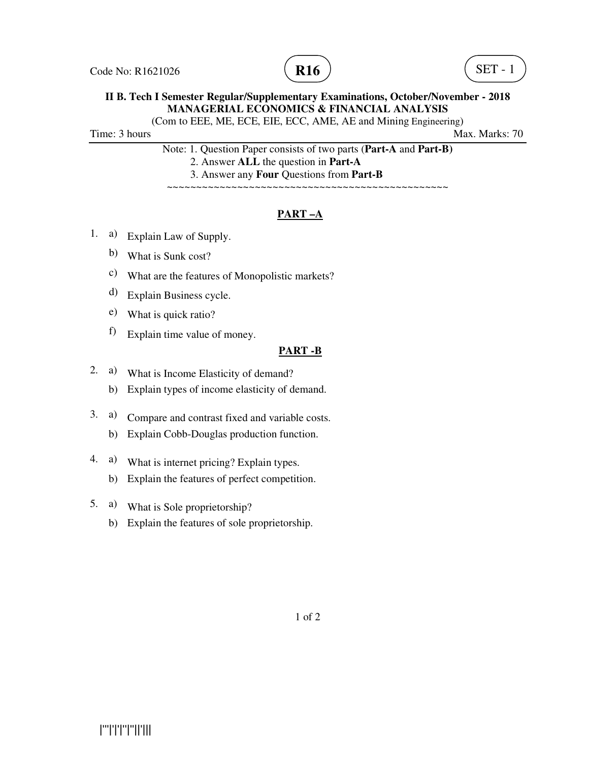



(Com to EEE, ME, ECE, EIE, ECC, AME, AE and Mining Engineering)

Time: 3 hours Max. Marks: 70

Note: 1. Question Paper consists of two parts (**Part-A** and **Part-B)**

2. Answer **ALL** the question in **Part-A**

3. Answer any **Four** Questions from **Part-B**

~~~~~~~~~~~~~~~~~~~~~~~~~~~~~~~~~~~~~~~~~~~~~~~~

## **PART –A**

- 1. a) Explain Law of Supply.
	- b) What is Sunk cost?
	- c) What are the features of Monopolistic markets?
	- d) Explain Business cycle.
	- e) What is quick ratio?
	- f) Explain time value of money.

#### **PART -B**

- 2. a) What is Income Elasticity of demand?
	- b) Explain types of income elasticity of demand.
- 3. a) Compare and contrast fixed and variable costs.
	- b) Explain Cobb-Douglas production function.
- 4. a) What is internet pricing? Explain types.
	- b) Explain the features of perfect competition.
- 5. a) What is Sole proprietorship?
	- b) Explain the features of sole proprietorship.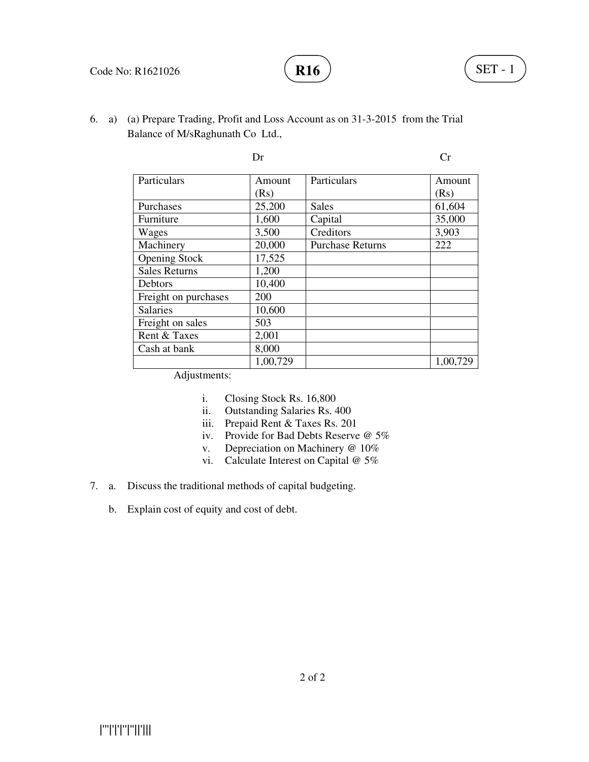

6. a) (a) Prepare Trading, Profit and Loss Account as on 31-3-2015 from the Trial Balance of M/sRaghunath Co Ltd.,

|                      | Dr       |                         | Сr       |
|----------------------|----------|-------------------------|----------|
| Particulars          | Amount   | Particulars             | Amount   |
|                      | (Rs)     |                         | (Rs)     |
| Purchases            | 25,200   | <b>Sales</b>            | 61,604   |
| Furniture            | 1,600    | Capital                 | 35,000   |
| Wages                | 3,500    | Creditors               | 3,903    |
| Machinery            | 20,000   | <b>Purchase Returns</b> | 222      |
| <b>Opening Stock</b> | 17,525   |                         |          |
| <b>Sales Returns</b> | 1,200    |                         |          |
| Debtors              | 10,400   |                         |          |
| Freight on purchases | 200      |                         |          |
| <b>Salaries</b>      | 10,600   |                         |          |
| Freight on sales     | 503      |                         |          |
| Rent & Taxes         | 2,001    |                         |          |
| Cash at bank         | 8,000    |                         |          |
|                      | 1,00,729 |                         | 1,00,729 |

Adjustments:

- i. Closing Stock Rs. 16,800
- ii. Outstanding Salaries Rs. 400
- iii. Prepaid Rent & Taxes Rs. 201
- iv. Provide for Bad Debts Reserve @ 5%
- v. Depreciation on Machinery @ 10%
- vi. Calculate Interest on Capital @ 5%
- 7. a. Discuss the traditional methods of capital budgeting.
	- b. Explain cost of equity and cost of debt.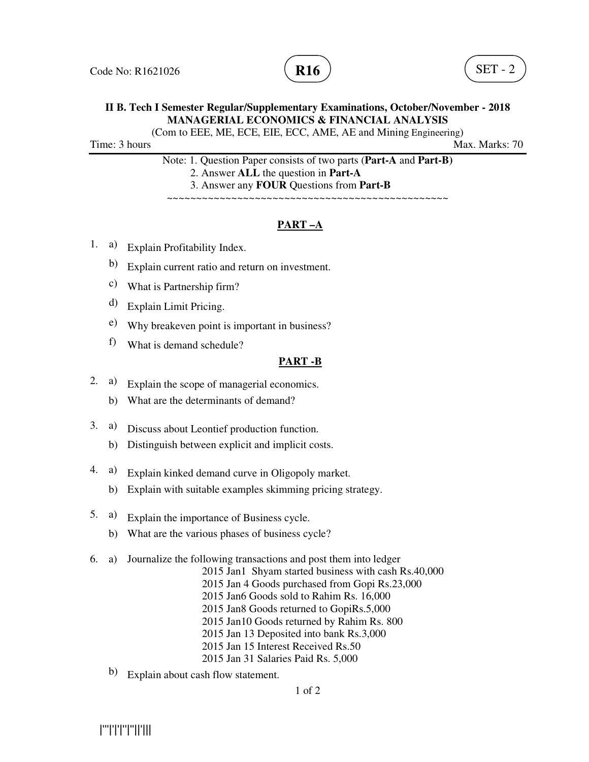

(Com to EEE, ME, ECE, EIE, ECC, AME, AE and Mining Engineering)

Time: 3 hours Max. Marks: 70

Note: 1. Question Paper consists of two parts (**Part-A** and **Part-B)** 2. Answer **ALL** the question in **Part-A** 3. Answer any **FOUR** Questions from **Part-B**

~~~~~~~~~~~~~~~~~~~~~~~~~~~~~~~~~~~~~~~~~~~~~~~~

# **PART –A**

- 1. a) Explain Profitability Index.
	- b) Explain current ratio and return on investment.
	- c) What is Partnership firm?
	- d) Explain Limit Pricing.
	- e) Why breakeven point is important in business?
	- f) What is demand schedule?

#### **PART -B**

- 2. a) Explain the scope of managerial economics.
	- b) What are the determinants of demand?
- 3. a) Discuss about Leontief production function.
	- b) Distinguish between explicit and implicit costs.
- 4. a) Explain kinked demand curve in Oligopoly market.
	- b) Explain with suitable examples skimming pricing strategy.
- 5. a) Explain the importance of Business cycle.
	- b) What are the various phases of business cycle?
- 6. a) Journalize the following transactions and post them into ledger
	- 2015 Jan1 Shyam started business with cash Rs.40,000
	- 2015 Jan 4 Goods purchased from Gopi Rs.23,000
	- 2015 Jan6 Goods sold to Rahim Rs. 16,000
	- 2015 Jan8 Goods returned to GopiRs.5,000
	- 2015 Jan10 Goods returned by Rahim Rs. 800
	- 2015 Jan 13 Deposited into bank Rs.3,000
	- 2015 Jan 15 Interest Received Rs.50
	- 2015 Jan 31 Salaries Paid Rs. 5,000
	- b) Explain about cash flow statement.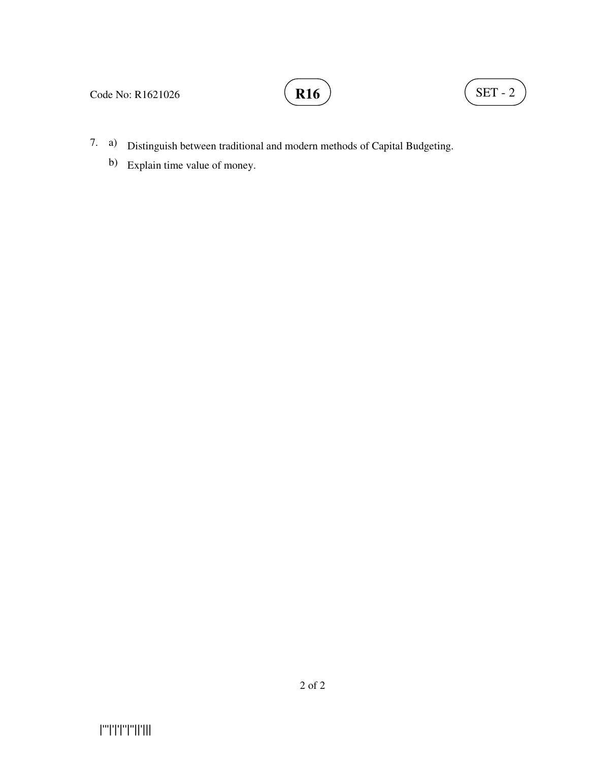

# **R16**  $\left( \text{SET - 2} \right)$

- 7. a) Distinguish between traditional and modern methods of Capital Budgeting.
	- b) Explain time value of money.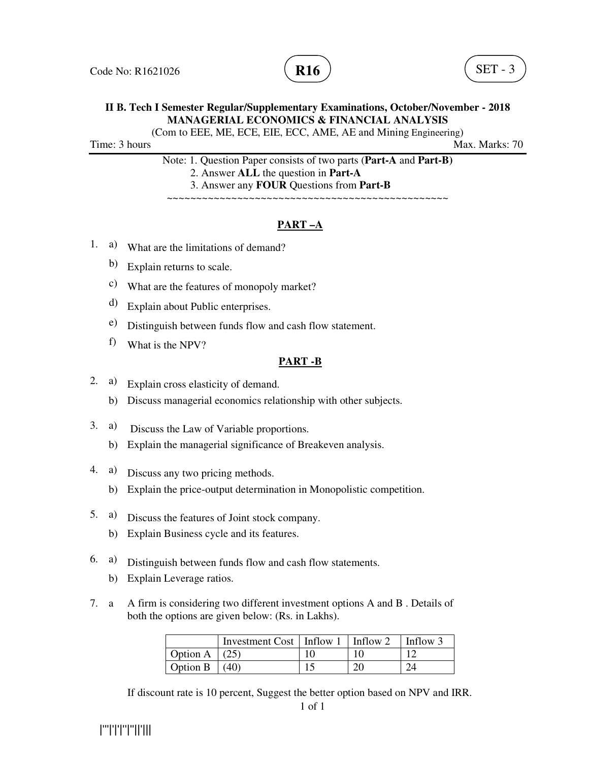

(Com to EEE, ME, ECE, EIE, ECC, AME, AE and Mining Engineering)

Time: 3 hours Max. Marks: 70

Note: 1. Question Paper consists of two parts (**Part-A** and **Part-B)** 2. Answer **ALL** the question in **Part-A** 3. Answer any **FOUR** Questions from **Part-B**

~~~~~~~~~~~~~~~~~~~~~~~~~~~~~~~~~~~~~~~~~~~~~~~~

# **PART –A**

- 1. a) What are the limitations of demand?
	- b) Explain returns to scale.
	- c) What are the features of monopoly market?
	- d) Explain about Public enterprises.
	- e) Distinguish between funds flow and cash flow statement.
	- f) What is the NPV?

#### **PART -B**

- 2. a) Explain cross elasticity of demand.
	- b) Discuss managerial economics relationship with other subjects.
- 3. a) Discuss the Law of Variable proportions.
	- b) Explain the managerial significance of Breakeven analysis.
- 4. a) Discuss any two pricing methods.
	- b) Explain the price-output determination in Monopolistic competition.
- 5. a) Discuss the features of Joint stock company.
	- b) Explain Business cycle and its features.
- 6. a) Distinguish between funds flow and cash flow statements.
	- b) Explain Leverage ratios.
- 7. a A firm is considering two different investment options A and B . Details of both the options are given below: (Rs. in Lakhs).

|          | Investment Cost   Inflow 1   Inflow 2 |   | Inflow 3 |
|----------|---------------------------------------|---|----------|
| Option A |                                       |   |          |
| Option B | (40)                                  | റ |          |

If discount rate is 10 percent, Suggest the better option based on NPV and IRR.

|'''|'|'|''|''||'|||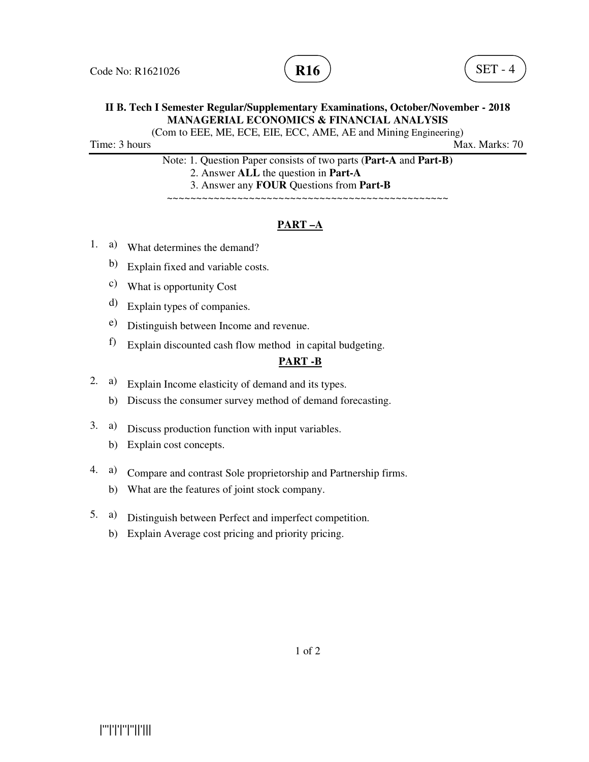

(Com to EEE, ME, ECE, EIE, ECC, AME, AE and Mining Engineering)

Time: 3 hours Max. Marks: 70

Note: 1. Question Paper consists of two parts (**Part-A** and **Part-B)** 2. Answer **ALL** the question in **Part-A** 3. Answer any **FOUR** Questions from **Part-B**

~~~~~~~~~~~~~~~~~~~~~~~~~~~~~~~~~~~~~~~~~~~~~~~~

## **PART –A**

- 1. a) What determines the demand?
	- b) Explain fixed and variable costs.
	- c) What is opportunity Cost
	- d) Explain types of companies.
	- e) Distinguish between Income and revenue.
	- f) Explain discounted cash flow method in capital budgeting.

#### **PART -B**

- 2. a) Explain Income elasticity of demand and its types.
	- b) Discuss the consumer survey method of demand forecasting.
- 3. a) Discuss production function with input variables.
	- b) Explain cost concepts.
- 4. a) Compare and contrast Sole proprietorship and Partnership firms.
	- b) What are the features of joint stock company.
- 5. a) Distinguish between Perfect and imperfect competition.
	- b) Explain Average cost pricing and priority pricing.